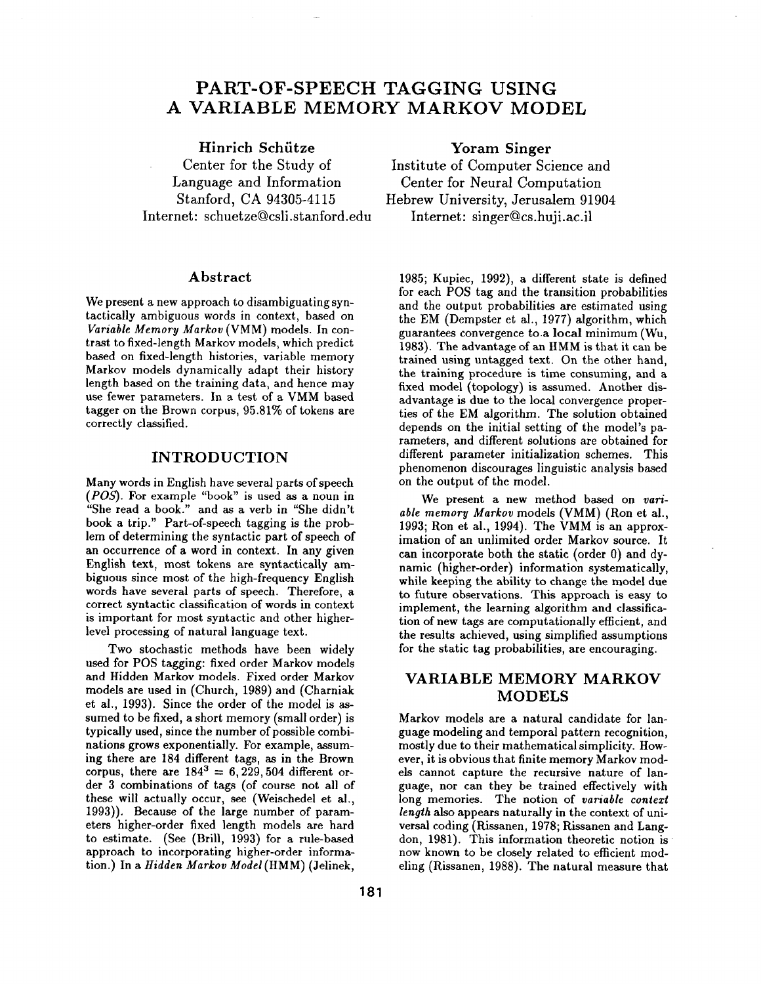# **PART-OF-SPEECH TAGGING USING A VARIABLE MEMORY MARKOV MODEL**

### Hinrich Schiitze

Center for the Study of Language and Information Stanford, CA 94305-4115 Internet: schuetze@csli.stanford.edu

#### Abstract

We present a new approach to disambiguating syntactically ambiguous words in context, based on *Variable Memory Markov* (VMM) models. In contrast to fixed-length Markov models, which predict based on fixed-length histories, variable memory Markov models dynamically adapt their history length based on the training data, and hence may use fewer parameters. In a test of a VMM based tagger on the Brown corpus, 95.81% of tokens are correctly classified.

### **INTRODUCTION**

Many words in English have several parts of speech *(POS).* For example "book" is used as a noun in "She read a book." and as a verb in "She didn't book a trip." Part-of-speech tagging is the problem of determining the syntactic part of speech of an occurrence of a word in context. In any given English text, most tokens are syntactically ambiguous since most of the high-frequency English words have several parts of speech. Therefore, a correct syntactic classification of words in context is important for most syntactic and other higherlevel processing of natural language text.

Two stochastic methods have been widely used for POS tagging: fixed order Markov models and Hidden Markov models. Fixed order Markov models are used in (Church, 1989) and (Charniak et al., 1993). Since the order of the model is assumed to be fixed, a short memory (small order) is typically used, since the number of possible combinations grows exponentially. For example, assuming there are 184 different tags, as in the Brown corpus, there are  $184^3 = 6,229,504$  different order 3 combinations of tags (of course not all of these will actually occur, see (Weischedel et al., 1993)). Because of the large number of parameters higher-order fixed length models are hard to estimate. (See (Brill, 1993) for a rule-based approach to incorporating higher-order information.) In a *Hidden Markov Model* (HMM) (Jelinek,

**Yoram** Singer Institute of Computer Science and Center for Neural Computation Hebrew University, Jerusalem 91904 Internet: singer@cs.huji.ac.il

1985; Kupiec, 1992), a different state is defined for each POS tag and the transition probabilities and the output probabilities are estimated using the EM (Dempster et al., 1977) algorithm, which guarantees convergence to.a local minimum (Wu, 1983). The advantage of an HMM is that it can be trained using untagged text. On the other hand, the training procedure is time consuming, and a fixed model (topology) is assumed. Another disadvantage is due to the local convergence properties of the EM algorithm. The solution obtained depends on the initial setting of the model's parameters, and different solutions are obtained for different parameter initialization schemes. This phenomenon discourages linguistic analysis based on the output of the model.

We present a new method based on *variable memory Markov* models (VMM) (Ron et al., 1993; Ron et al., 1994). The VMM is an approximation of an unlimited order Markov source. It can incorporate both the static (order 0) and dynamic (higher-order) information systematically, while keeping the ability to change the model due to future observations. This approach is easy to implement, the learning algorithm and classification of new tags are computationally efficient, and the results achieved, using simplified assumptions for the static tag probabilities, are encouraging.

# **VARIABLE MEMORY MARKOV MODELS**

Markov models are a natural candidate for language modeling and temporal pattern recognition, mostly due to their mathematical simplicity. However, it is obvious that finite memory Markov models cannot capture the recursive nature of language, nor can they be trained effectively with long memories. The notion of *variable context length* also appears naturally in the context of universal coding (Rissanen, 1978; Rissanen and Langdon, 1981). This information theoretic notion is now known to be closely related to efficient modeling (Rissanen, 1988). The natural measure that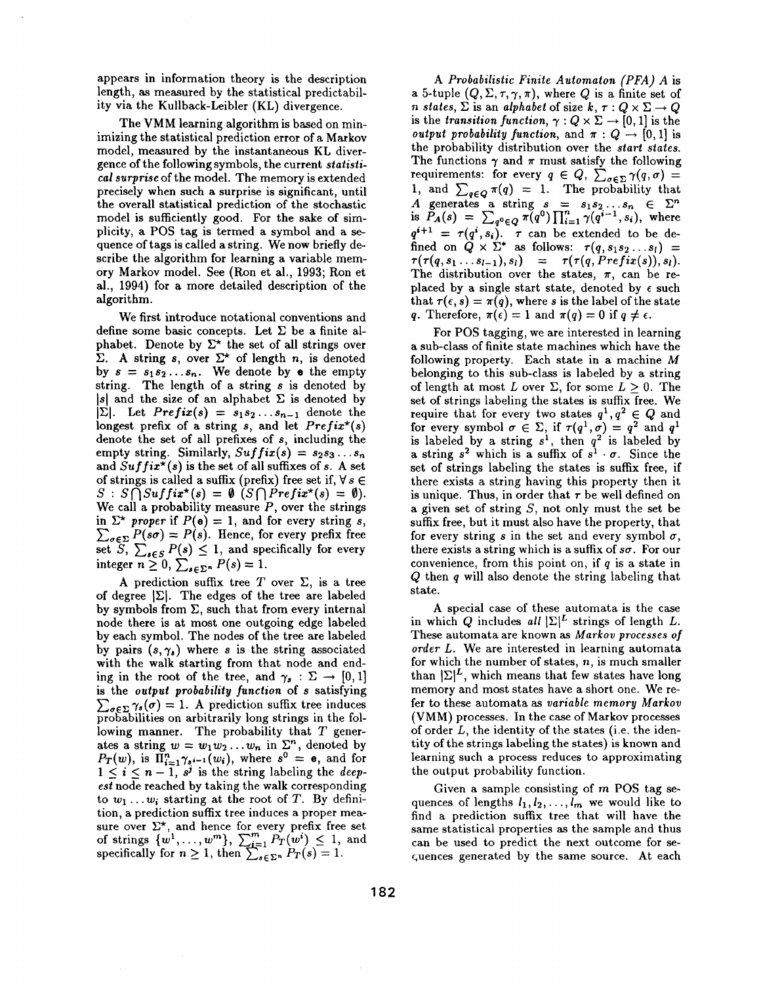appears in information theory is the description length, as measured by the statistical predictability via the Kullback-Leibler (KL) divergence.

The VMM learning algorithm is based on minimizing the statistical prediction error of a Markov model, measured by the instantaneous KL divergence of the following symbols, the current *statistical surprise* of the model. The memory is extended precisely when such a surprise is significant, until the overall statistical prediction of the stochastic model is sufficiently good. For the sake of simplicity, a POS tag is termed a symbol and a sequence of tags is called a string. We now briefly describe the algorithm for learning a variable memory Markov model. See (Ron et al., 1993; Ron et al., 1994) for a more detailed description of the algorithm.

We first introduce notational conventions and define some basic concepts. Let  $\Sigma$  be a finite alphabet. Denote by  $\Sigma^*$  the set of all strings over  $\Sigma$ . A string s, over  $\Sigma^*$  of length n, is denoted by  $s = s_1 s_2 \ldots s_n$ . We denote by **e** the empty string. The length of a string s is denoted by  $|s|$  and the size of an alphabet  $\Sigma$  is denoted by  $|\Sigma|$ . Let *Prefix(s) =*  $s_1 s_2 \ldots s_{n-1}$  denote the longest prefix of a string s, and let *Prefix\*(s)*  denote the set of all prefixes of s, including the empty string. Similarly,  $Suffix(s) = s_2s_3...s_n$ and  $Suffix^*(s)$  is the set of all suffixes of s. A set of strings is called a suffix (prefix) free set if,  $\forall s \in$  $S: S \bigcap Suffix^{\star}(s) = \emptyset$  ( $S \bigcap Prefix^{\star}(s) = \emptyset$ ). We call a probability measure  $P$ , over the strings in  $\Sigma^*$  *proper* if  $P(\mathbf{e}) = 1$ , and for every string s,  $\sum_{\sigma \in \Sigma} P(s\sigma) = P(s)$ . Hence, for every prefix free set *S*,  $\sum_{s \in S} P(s) \leq 1$ , and specifically for every integer  $n \geq 0$ ,  $\sum_{s \in \Sigma^n} P(s) = 1$ .

A prediction suffix tree T over  $\Sigma$ , is a tree of degree  $|\Sigma|$ . The edges of the tree are labeled by symbols from  $\Sigma$ , such that from every internal node there is at most one outgoing edge labeled by each symbol. The nodes of the tree are labeled by pairs  $(s, \gamma_s)$  where s is the string associated with the walk starting from that node and ending in the root of the tree, and  $\gamma_s : \Sigma \to [0,1]$ is the *output probability function* of s satisfying  $\sum_{\sigma \in \Sigma} \gamma_s(\sigma) = 1$ . A prediction suffix tree induces probabilities on arbitrarily long strings in the following manner. The probability that  $T$  generates a string  $w = w_1w_2...w_n$  in  $\Sigma<sup>n</sup>$ , denoted by  $P_T(w)$ , is  $\prod_{i=1}^n \gamma_{s^{i-1}}(w_i)$ , where  $s^0 = e$ , and for  $1 \leq i \leq n-1$ ,  $s^j$  is the string labeling the *deepest* node reached by taking the walk corresponding to  $w_1 \ldots w_i$  starting at the root of T. By definition, a prediction suffix tree induces a proper measure over  $\Sigma^*$ , and hence for every prefix free set of strings  $\{w^1,\ldots,w^m\}, \sum_{i=1}^m P_T(w^i) \leq 1$ , and specifically for  $n \geq 1$ , then  $\sum_{s \in \Sigma^n} P_T(s) = 1$ .

*A Probabilistic Finite Automaton (PFA) A* is a 5-tuple  $(Q, \Sigma, \tau, \gamma, \pi)$ , where Q is a finite set of *n* states,  $\Sigma$  is an *alphabet* of size  $k, \tau : Q \times \Sigma \rightarrow Q$ is the *transition function,*  $\gamma$  :  $Q \times \Sigma \rightarrow [0,1]$  is the *output probability function, and*  $\pi$  :  $Q \rightarrow [0,1]$  is the probability distribution over the *start states.*  The functions  $\gamma$  and  $\pi$  must satisfy the following requirements: for every  $q \in Q, \sum_{\sigma \in \Sigma} \gamma(q, \sigma) =$ 1, and  $\sum_{q \in Q} \pi(q) = 1$ . The probability that A generates a string  $s = s_1 s_2 ... s_n \in \Sigma^n$ <br>is  $P_A(s) = \sum_{g \circ \in \Omega} \pi(q^0) \prod_{i=1}^n \gamma(q^{i-1}, s_i)$ , where  $q^{i+1} = \tau(q^i, s_i)$ .  $\tau$  can be extended to be defined on  $Q \times \Sigma^*$  as follows:  $\tau(q, s_1 s_2 \ldots s_l)$  =  $\tau(\tau(q, s_1 \ldots s_{l-1}), s_l) = \tau(\tau(q, Prefix(s)), s_l).$ The distribution over the states,  $\pi$ , can be replaced by a single start state, denoted by  $\epsilon$  such that  $\tau(\epsilon, s) = \pi(q)$ , where s is the label of the state q. Therefore,  $\pi(\epsilon) = 1$  and  $\pi(q) = 0$  if  $q \neq \epsilon$ .

For POS tagging, we are interested in learning a sub-class of finite state machines which have the following property. Each state in a machine M belonging to this sub-class is labeled by a string of length at most L over  $\Sigma$ , for some  $L > 0$ . The set of strings labeling the states is suffix free. We require that for every two states  $q^1, q^2 \in Q$  and for every symbol  $\sigma \in \Sigma$ , if  $\tau(q^1,\sigma) = q^2$  and  $q^1$ is labeled by a string  $s<sup>1</sup>$ , then  $q<sup>2</sup>$  is labeled by a string  $s^2$  which is a suffix of  $s^1 \cdot \sigma$ . Since the set of strings labeling the states is suffix free, if there exists a string having this property then it is unique. Thus, in order that  $\tau$  be well defined on a given set of string  $S$ , not only must the set be suffix free, but it must also have the property, that for every string s in the set and every symbol  $\sigma$ , there exists a string which is a suffix of  $s\sigma$ . For our convenience, from this point on, if  $q$  is a state in Q then q will also denote the string labeling that state.

A special case of these automata is the case in which Q includes all  $\Sigma^L$  strings of length L. These automata are known as *Markov processes of order L.* We are interested in learning automata for which the number of states,  $n$ , is much smaller than  $|\Sigma|^L$ , which means that few states have long memory and most states have a short one. We refer to these automata as *variable memory Markov*  (VMM) processes. In the case of Markov processes of order L, the identity of the states (i.e. the identity of the strings labeling the states) is known and learning such a process reduces to approximating the output probability function.

Given a sample consisting of m POS tag sequences of lengths  $l_1, l_2, \ldots, l_m$  we would like to find a prediction suffix tree that will have the same statistical properties as the sample and thus can be used to predict the next outcome for sec;uences generated by the same source. At each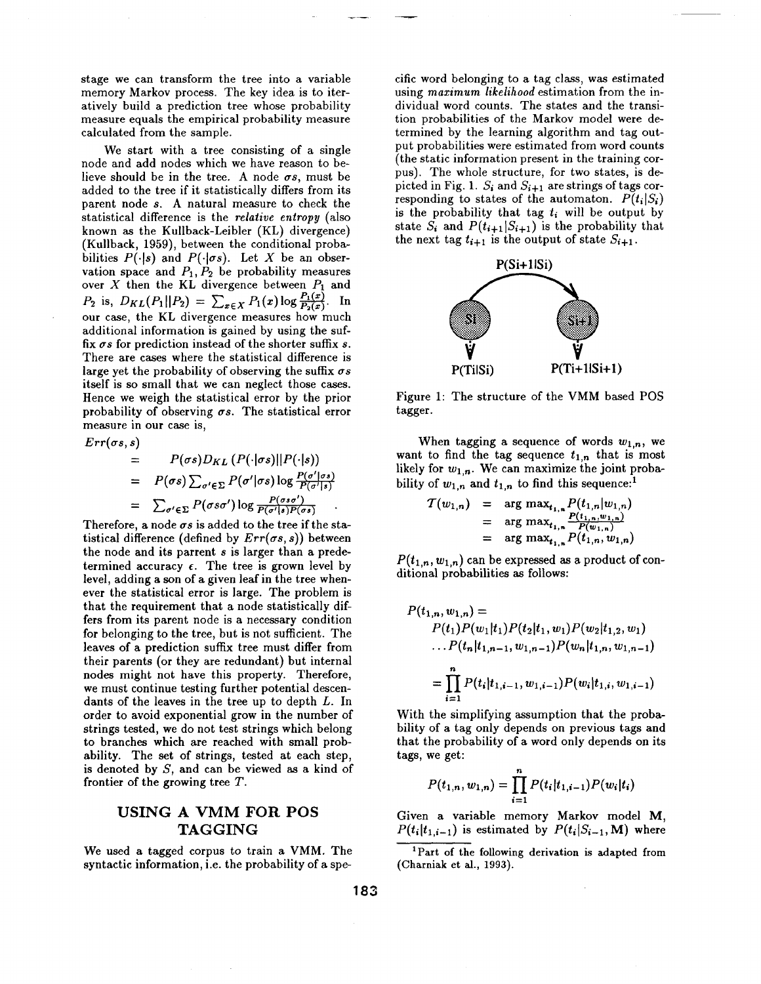stage we can transform the tree into a variable memory Markov process. The key idea is to iteratively build a prediction tree whose probability measure equals the empirical probability measure calculated from the sample.

We start with a tree consisting of a single node and add nodes which we have reason to believe should be in the tree. A node  $\sigma s$ , must be added to the tree if it statistically differs from its parent node s. A natural measure to check the statistical difference is the *relative entropy* (also known as the Kullback-Leibler (KL) divergence) (Kullback, 1959), between the conditional probabilities  $P(\cdot|s)$  and  $P(\cdot|\sigma s)$ . Let X be an observation space and  $P_1, P_2$  be probability measures over X then the KL divergence between  $P_1$  and  $P_2$  is,  $D_{KL}(P_1||P_2) = \sum_{x \in X} P_1(x) \log \frac{P_1(x)}{P_2(x)}$ . In our case, the KL divergence measures how much additional information is gained by using the suffix  $\sigma s$  for prediction instead of the shorter suffix  $s$ . There are cases where the statistical difference is large yet the probability of observing the suffix  $\sigma s$ itself is so small that we can neglect those cases. Hence we weigh the statistical error by the prior probability of observing  $\sigma s$ . The statistical error measure in our case is,

 $Err(\sigma s, s)$  $= P(\sigma s)D_{KL} (P(\cdot|\sigma s)||P(\cdot|s))$  $= P(\sigma s) \sum_{\sigma' \in \Sigma} P(\sigma'|\sigma s) \log$  $= \sum_{\sigma' \in \Sigma} P(\sigma s \sigma') \log \frac{P(\sigma s \sigma')}{P(\sigma') \cdot P(\sigma s')}$ 

Therefore, a node  $\sigma s$  is added to the tree if the statistical difference (defined by  $Err(\sigma s, s)$ ) between the node and its parrent s is larger than a predetermined accuracy  $\epsilon$ . The tree is grown level by level, adding a son of a given leaf in the tree whenever the statistical error is large. The problem is that the requirement that a node statistically differs from its parent node is a necessary condition for belonging to the tree, but is not sufficient. The leaves of a prediction suffix tree must differ from their parents (or they are redundant) but internal nodes might not have this property. Therefore, we must continue testing further potential descendants of the leaves in the tree up to depth L. In order to avoid exponential grow in the number of strings tested, we do not test strings which belong to branches which are reached with small probability. The set of strings, tested at each step, is denoted by S, and can be viewed as a kind of frontier of the growing tree T.

# USING A VMM FOR **POS**  TAGGING

We used a tagged corpus to train a VMM. The syntactic information, i.e. the probability of a spe-

cific word belonging to a tag class, was estimated using *maximum likelihood* estimation from the individual word counts. The states and the transition probabilities of the Markov model were determined by the learning algorithm and tag output probabilities were estimated from word counts (the static information present in the training corpus). The whole structure, for two states, is depicted in Fig. 1.  $S_i$  and  $S_{i+1}$  are strings of tags corresponding to states of the automaton.  $P(t_i|S_i)$ is the probability that tag  $t_i$  will be output by state  $S_i$  and  $P(t_{i+1}|S_{i+1})$  is the probability that the next tag  $t_{i+1}$  is the output of state  $S_{i+1}$ .



Figure 1: The structure of the VMM based POS tagger.

When tagging a sequence of words  $w_{1,n}$ , we want to find the tag sequence  $t_{1,n}$  that is most likely for  $w_{1,n}$ . We can maximize the joint probability of  $w_{1,n}$  and  $t_{1,n}$  to find this sequence:<sup>1</sup>

$$
T(w_{1,n}) = \arg \max_{t_{1,n}} P(t_{1,n}|w_{1,n})
$$
  
= 
$$
\arg \max_{t_{1,n}} \frac{P(t_{1,n},w_{1,n})}{P(w_{1,n})}
$$
  
= 
$$
\arg \max_{t_{1,n}} P(t_{1,n},w_{1,n})
$$

 $P(t_{1,n}, w_{1,n})$  can be expressed as a product of conditional probabilities as follows:

$$
P(t_{1,n}, w_{1,n}) =
$$
  
\n
$$
P(t_1)P(w_1|t_1)P(t_2|t_1, w_1)P(w_2|t_{1,2}, w_1)
$$
  
\n
$$
\dots P(t_n|t_{1,n-1}, w_{1,n-1})P(w_n|t_{1,n}, w_{1,n-1})
$$
  
\n
$$
= \prod_{i=1}^n P(t_i|t_{1,i-1}, w_{1,i-1})P(w_i|t_{1,i}, w_{1,i-1})
$$

With the simplifying assumption that the probability of a tag only depends on previous tags and that the probability of a word only depends on its tags, we get:

$$
P(t_{1,n}, w_{1,n}) = \prod_{i=1}^{n} P(t_i | t_{1,i-1}) P(w_i | t_i)
$$

Given a variable memory Markov model M,  $P(t_i|t_{1,i-1})$  is estimated by  $P(t_i|S_{i-1},M)$  where

<sup>&</sup>lt;sup>1</sup>Part of the following derivation is adapted from (Charniak et al., 1993).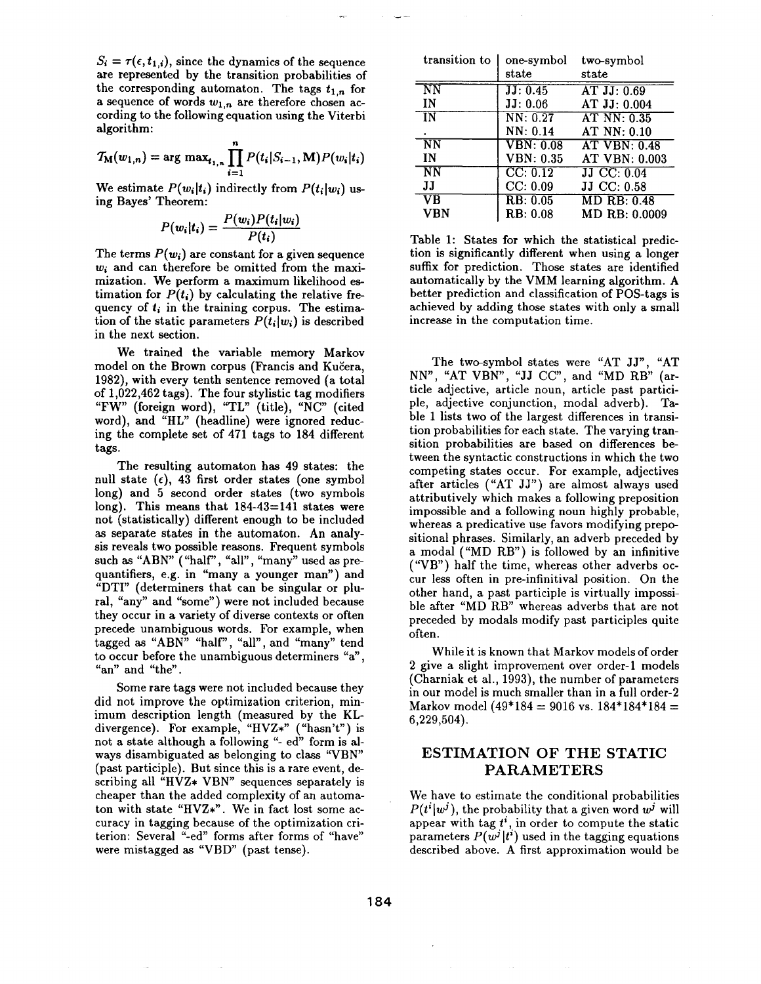$S_i = \tau(\epsilon, t_{1,i})$ , since the dynamics of the sequence are represented by the transition probabilities of the corresponding automaton. The tags  $t_{1,n}$  for a sequence of words  $w_{1,n}$  are therefore chosen according to the following equation using the Viterbi algorithm:

$$
T_{\mathbf{M}}(w_{1,n}) = \arg \max_{t_{1,n}} \prod_{i=1}^{n} P(t_i|S_{i-1}, \mathbf{M}) P(w_i|t_i)
$$

We estimate  $P(w_i|t_i)$  indirectly from  $P(t_i|w_i)$  using Bayes' Theorem:

$$
P(w_i|t_i) = \frac{P(w_i)P(t_i|w_i)}{P(t_i)}
$$

The terms  $P(w_i)$  are constant for a given sequence *wi* and can therefore be omitted from the maximization. We perform a maximum likelihood estimation for  $P(t_i)$  by calculating the relative frequency of  $t_i$  in the training corpus. The estimation of the static parameters  $P(t_i|w_i)$  is described in the next section.

We trained the variable memory Markov model on the Brown corpus (Francis and Kučera, 1982), with every tenth sentence removed (a total of 1,022,462 tags). The four stylistic tag modifiers "FW" (foreign word), "TL" (title), "NC" (cited word), and "HL" (headline) were ignored reducing the complete set of 471 tags to 184 different tags.

The resulting automaton has 49 states: the null state  $(\epsilon)$ , 43 first order states (one symbol long) and 5 second order states (two symbols long). This means that 184-43=141 states were not (statistically) different enough to be included as separate states in the automaton. An analysis reveals two possible reasons. Frequent symbols such as "ABN" ("half", "all", "many" used as prequantifiers, e.g. in "many a younger man") and "DTI" (determiners that can be singular or plural, "any" and "some") were not included because they occur in a variety of diverse contexts or often precede unambiguous words. For example, when tagged as "ABN" "half", "all", and "many" tend to occur before the unambiguous determiners "a", "an" and "the".

Some rare tags were not included because they did not improve the optimization criterion, minimum description length (measured by the KLdivergence). For example, "HVZ\*" ("hasn't") is not a state although a following "- ed" form is always disambiguated as belonging to class "VBN" (past participle). But since this is a rare event, describing all "HVZ\* VBN" sequences separately is cheaper than the added complexity of an automaton with state "HVZ\*". We in fact lost some accuracy in tagging because of the optimization criterion: Several "-ed" forms after forms of "have" were mistagged as "VBD" (past tense).

| transition to          | one-symbol                    | two-symbol           |  |  |  |  |
|------------------------|-------------------------------|----------------------|--|--|--|--|
|                        | state                         | state                |  |  |  |  |
| N <sub>N</sub>         | JJ: 0.45                      | AT JJ: 0.69          |  |  |  |  |
| IN                     | JJ: 0.06                      | AT JJ: 0.004         |  |  |  |  |
| $\overline{\text{IN}}$ | NN: 0.27                      | AT NN: 0.35          |  |  |  |  |
|                        | NN: 0.14                      | AT NN: 0.10          |  |  |  |  |
| $\overline{NN}$        | $\overline{\text{VBN: }0.08}$ | <b>AT VBN: 0.48</b>  |  |  |  |  |
| IN                     | <b>VBN</b> : 0.35             | <b>AT VBN: 0.003</b> |  |  |  |  |
| $\overline{\text{NN}}$ | CC: 0.12                      | JJ CC: 0.04          |  |  |  |  |
| IJ                     | CC: 0.09                      | JJ CC: 0.58          |  |  |  |  |
| VŔ                     | RB: 0.05                      | <b>MD RB: 0.48</b>   |  |  |  |  |
| VBN                    | RB: 0.08                      | $MD$ RB: $0.0009$    |  |  |  |  |

Table 1: States for which the statistical prediction is significantly different when using a longer suffix for prediction. Those states are identified automatically by the VMM learning algorithm. A better prediction and classification of POS-tags is achieved by adding those states with only a small increase in the computation time.

The two-symbol states were "AT JJ", "AT NN", "AT VBN", "JJ CC", and "MD RB" (article adjective, article noun, article past participle, adjective conjunction, modal adverb). Table 1 lists two of the largest differences in transition probabilities for each state. The varying transition probabilities are based on differences between the syntactic constructions in which the two competing states occur. For example, adjectives after articles ("AT JJ") are almost always used attributively which makes a following preposition impossible and a following noun highly probable, whereas a predicative use favors modifying prepositional phrases. Similarly, an adverb preceded by a modal ("MD RB") is followed by an infinitive ("VB") half the time, whereas other adverbs occur less often in pre-infinitival position. On the other hand, a past participle is virtually impossible after *"MD* RB" whereas adverbs that are not preceded by modals modify past participles quite often.

While it is known that Markov models of order 2 give a slight improvement over order-1 models (Charniak et al., 1993), the number of parameters in our model is much smaller than in a full order-2 Markov model  $(49*184 = 9016$  vs.  $184*184*184 =$ 6,229,504).

## **ESTIMATION OF THE STATIC PARAMETERS**

We have to estimate the conditional probabilities  $P(t^i|w^j)$ , the probability that a given word  $w^j$  will appear with tag *t*<sup>*i*</sup>, in order to compute the static parameters  $P(w^j|t^i)$  used in the tagging equations described above. A first approximation would be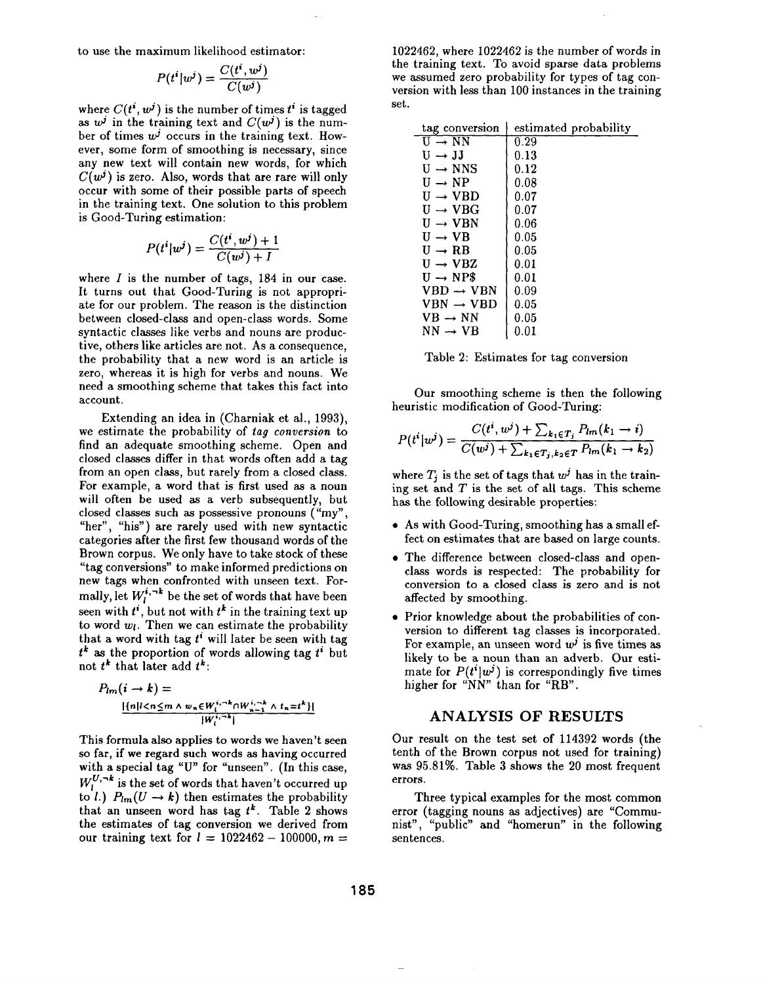to use the maximum likelihood estimator:

$$
P(t^i|w^j) = \frac{C(t^i, w^j)}{C(w^j)}
$$

where  $C(t^i, w^j)$  is the number of times  $t^i$  is tagged as  $w^j$  in the training text and  $C(w^j)$  is the number of times  $w^j$  occurs in the training text. However, some form of smoothing is necessary, since any new text will contain new words, for which  $C(w^{j})$  is zero. Also, words that are rare will only occur with some of their possible parts of speech in the training text. One solution to this problem is Good-Turing estimation:

$$
P(t^i|w^j) = \frac{C(t^i, w^j) + 1}{C(w^j) + I}
$$

where  $I$  is the number of tags,  $184$  in our case. It turns out that Good-Turing is not appropriate for our problem. The reason is the distinction between closed-class and open-class words. Some syntactic classes like verbs and nouns are productive, others like articles are not. As a consequence, the probability that a new word is an article is zero, whereas it is high for verbs and nouns. We need a smoothing scheme that takes this fact into account.

Extending an idea in (Charniak et al., 1993), we estimate the probability of *tag conversion* to find an adequate smoothing scheme. Open and closed classes differ in that words often add a tag from an open class, but rarely from a closed class. For example, a word that is first used as a noun will often be used as a verb subsequently, but closed classes such as possessive pronouns ("my", "her", "his") are rarely used with new syntactic categories after the first few thousand words of the Brown corpus. We only have to take stock of these "tag conversions" to make informed predictions on new tags when confronted with unseen text. Formally, let  $W_l^{i, -k}$  be the set of words that have been seen with  $t^i$ , but not with  $t^k$  in the training text up to word  $w_l$ . Then we can estimate the probability that a word with tag  $t^i$  will later be seen with tag  $t^k$  as the proportion of words allowing tag  $t^i$  but not  $t^k$  that later add  $t^k$ :

$$
P_{lm}(i \to k) =
$$
  
\n
$$
\frac{|{n|l
$$

This formula also applies to words we haven't seen so far, if we regard such words as having occurred with a special tag "U" for "unseen". (In this case,  $W^{U,\neg k}_{i}$  is the set of words that haven't occurred up to *l.*)  $P_{lm}(U \rightarrow k)$  then estimates the probability that an unseen word has tag  $t^k$ . Table 2 shows the estimates of tag conversion we derived from our training text for  $l = 1022462 - 100000$ ,  $m =$ 

1022462, where 1022462 is the number of words in the training text. To avoid sparse data problems we assumed zero probability for types of tag conversion with less than 100 instances in the training set.

| tag conversion        | estimated probability |
|-----------------------|-----------------------|
| $U \rightarrow NN$    | 0.29                  |
| $U \rightarrow JJ$    | 0.13                  |
| $U \rightarrow NNS$   | 0.12                  |
| $U \rightarrow NP$    | 0.08                  |
| $U \rightarrow VBD$   | 0.07                  |
| $U \rightarrow VBG$   | 0.07                  |
| $U \rightarrow VBN$   | 0.06                  |
| $U \rightarrow VB$    | 0.05                  |
| $U \rightarrow RB$    | 0.05                  |
| $U \rightarrow V B Z$ | 0.01                  |
| $U \rightarrow NP\$   | 0.01                  |
| $VBD \rightarrow VBN$ | 0.09                  |
| $VBN \rightarrow VBD$ | 0.05                  |
| $VB \rightarrow NN$   | $0.05\,$              |
| $NN \rightarrow VR$   | $0.01\,$              |

|  |  | Table 2: Estimates for tag conversion |
|--|--|---------------------------------------|
|  |  |                                       |

Our smoothing scheme is then the following heuristic modification of Good-Turing:

$$
P(t^i|w^j) = \frac{C(t^i, w^j) + \sum_{k_1 \in T_j} P_{lm}(k_1 \to i)}{C(w^j) + \sum_{k_1 \in T_j, k_2 \in T} P_{lm}(k_1 \to k_2)}
$$

where  $T_i$  is the set of tags that  $w^j$  has in the training set and  $T$  is the set of all tags. This scheme has the following desirable properties:

- As with Good-Turing, smoothing has a small effect on estimates that are based on large counts.
- The difference between closed-class and openclass words is respected: The probability for conversion to a closed class is zero and is not affected by smoothing.
- Prior knowledge about the probabilities of conversion to different tag classes is incorporated. For example, an unseen word  $w^j$  is five times as likely to be a noun than an adverb. Our estimate for  $P(t^i|w^j)$  is correspondingly five times higher for "NN" than for "RB".

#### ANALYSIS OF RESULTS

Our result on the test set of 114392 words (the tenth of the Brown corpus not used for training) was 95.81%. Table 3 shows the 20 most frequent errors.

Three typical examples for the most common error (tagging nouns as adjectives) are "Communist", "public" and "homerun" in the following sentences.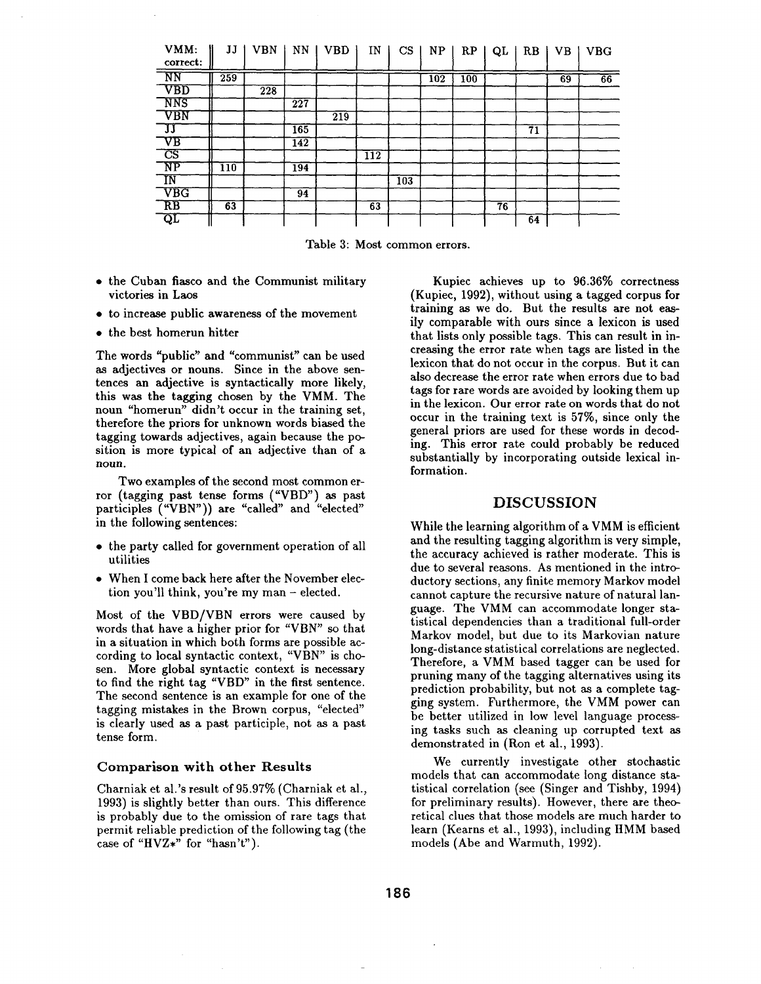| VMM:<br>correct:          | IJ               | <b>VBN</b> | NN                                     | <b>VBD</b>       | IN               | CS  | NP  | RP  | QL | RB | <b>VB</b> | <b>VBG</b> |
|---------------------------|------------------|------------|----------------------------------------|------------------|------------------|-----|-----|-----|----|----|-----------|------------|
| NN                        | 259              |            |                                        |                  |                  |     | 102 | 100 |    |    | 69        | 66         |
| $\overline{\text{VBD}}$   |                  | 228        |                                        |                  |                  |     |     |     |    |    |           |            |
| <b>NNS</b>                |                  |            | $\overline{2}\overline{2}\overline{7}$ |                  |                  |     |     |     |    |    |           |            |
| VBN                       |                  |            |                                        | $\overline{219}$ |                  |     |     |     |    |    |           |            |
| IJ                        |                  |            | 165                                    |                  |                  |     |     |     |    | 71 |           |            |
| $\rm{V}\rm{B}$            |                  |            | 142                                    |                  |                  |     |     |     |    |    |           |            |
| $\overline{\text{CS}}$    |                  |            |                                        |                  | $\overline{1}12$ |     |     |     |    |    |           |            |
| $\overline{\text{NP}}$    | $\overline{110}$ |            | 194                                    |                  |                  |     |     |     |    |    |           |            |
| ĪΝ                        |                  |            |                                        |                  |                  | 103 |     |     |    |    |           |            |
| $\overline{\mathrm{VBG}}$ |                  |            | 94                                     |                  |                  |     |     |     |    |    |           |            |
| $R$ B                     | $\overline{63}$  |            |                                        |                  | 63               |     |     |     | 76 |    |           |            |
| $\overline{\text{QL}}$    |                  |            |                                        |                  |                  |     |     |     |    | 64 |           |            |

Table 3: Most common errors.

- the Cuban fiasco and the Communist military victories in Laos
- to increase public awareness of the movement
- the best homerun hitter

The words "public" and "communist" can be used as adjectives or nouns. Since in the above sentences an adjective is syntactically more likely, this was the tagging chosen by the VMM. The noun "homerun" didn't occur in the training set, therefore the priors for unknown words biased the tagging towards adjectives, again because the position is more typical of an adjective than of a noun.

Two examples of the second most common error (tagging past tense forms ("VBD") as past participles ("VBN")) are "called" and "elected" in the following sentences:

- the party called for government operation of all utilities
- When I come back here after the November election you'll think, you're my man  $-$  elected.

Most of the VBD/VBN errors were caused by words that have a higher prior for "VBN" so that in a situation in which both forms are possible according to local syntactic context, "VBN" is chosen. More global syntactic context is necessary to find the right tag "VBD" in the first sentence. The second sentence is an example for one of the tagging mistakes in the Brown corpus, "elected" is clearly used as a past participle, not as a past tense form.

#### Comparison with other Results

Charniak et al.'s result of 95.97% (Charniak et al., 1993) is slightly better than ours. This difference is probably due to the omission of rare tags that permit reliable prediction of the following tag (the case of "HVZ\*" for "hasn't").

Kupiec achieves up to 96.36% correctness (Kupiec, 1992), without using a tagged corpus for training as we do. But the results are not easily comparable with ours since a lexicon is used that lists only possible tags. This can result in increasing the error rate when tags are listed in the lexicon that do not occur in the corpus. But it can also decrease the error rate when errors due to bad tags for rare words are avoided by looking them up in the lexicon. Our error rate on words that do not occur in the training text is 57%, since only the general priors are used for these words in decoding. This error rate could probably be reduced substantially by incorporating outside lexical information.

#### DISCUSSION

While the learning algorithm of a VMM is efficient and the resulting tagging algorithm is very simple, the accuracy achieved is rather moderate. This is due to several reasons. As mentioned in the introductory sections, any finite memory Markov model cannot capture the recursive nature of natural language. The VMM can accommodate longer statistical dependencies than a traditional full-order Markov model, but due to its Markovian nature long-distance statistical correlations are neglected. Therefore, a VMM based tagger can be used for pruning many of the tagging alternatives using its prediction probability, but not as a complete tagging system. Furthermore, the VMM power can be better utilized in low level language processing tasks such as cleaning up corrupted text as demonstrated in (Ron et al., 1993).

We currently investigate other stochastic models that can accommodate long distance statistical correlation (see (Singer and Tishby, 1994) for preliminary results). However, there are theoretical clues that those models are much harder to learn (Kearns et al., 1993), including HMM based models (Abe and Warmuth, 1992).